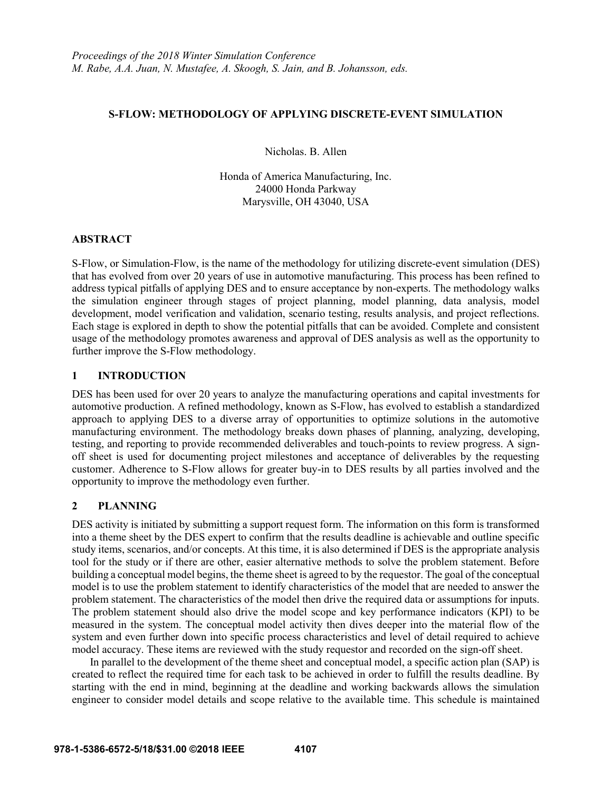#### **S-FLOW: METHODOLOGY OF APPLYING DISCRETE-EVENT SIMULATION**

Nicholas. B. Allen

Honda of America Manufacturing, Inc. 24000 Honda Parkway Marysville, OH 43040, USA

## **ABSTRACT**

S-Flow, or Simulation-Flow, is the name of the methodology for utilizing discrete-event simulation (DES) that has evolved from over 20 years of use in automotive manufacturing. This process has been refined to address typical pitfalls of applying DES and to ensure acceptance by non-experts. The methodology walks the simulation engineer through stages of project planning, model planning, data analysis, model development, model verification and validation, scenario testing, results analysis, and project reflections. Each stage is explored in depth to show the potential pitfalls that can be avoided. Complete and consistent usage of the methodology promotes awareness and approval of DES analysis as well as the opportunity to further improve the S-Flow methodology.

## **1 INTRODUCTION**

DES has been used for over 20 years to analyze the manufacturing operations and capital investments for automotive production. A refined methodology, known as S-Flow, has evolved to establish a standardized approach to applying DES to a diverse array of opportunities to optimize solutions in the automotive manufacturing environment. The methodology breaks down phases of planning, analyzing, developing, testing, and reporting to provide recommended deliverables and touch-points to review progress. A signoff sheet is used for documenting project milestones and acceptance of deliverables by the requesting customer. Adherence to S-Flow allows for greater buy-in to DES results by all parties involved and the opportunity to improve the methodology even further.

## **2 PLANNING**

DES activity is initiated by submitting a support request form. The information on this form is transformed into a theme sheet by the DES expert to confirm that the results deadline is achievable and outline specific study items, scenarios, and/or concepts. At this time, it is also determined if DES is the appropriate analysis tool for the study or if there are other, easier alternative methods to solve the problem statement. Before building a conceptual model begins, the theme sheet is agreed to by the requestor. The goal of the conceptual model is to use the problem statement to identify characteristics of the model that are needed to answer the problem statement. The characteristics of the model then drive the required data or assumptions for inputs. The problem statement should also drive the model scope and key performance indicators (KPI) to be measured in the system. The conceptual model activity then dives deeper into the material flow of the system and even further down into specific process characteristics and level of detail required to achieve model accuracy. These items are reviewed with the study requestor and recorded on the sign-off sheet.

In parallel to the development of the theme sheet and conceptual model, a specific action plan (SAP) is created to reflect the required time for each task to be achieved in order to fulfill the results deadline. By starting with the end in mind, beginning at the deadline and working backwards allows the simulation engineer to consider model details and scope relative to the available time. This schedule is maintained